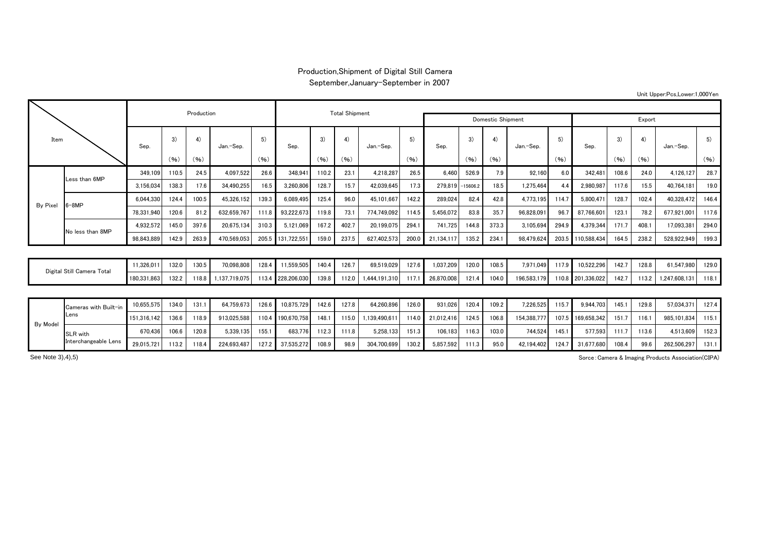## Production,Shipment of Digital Still Camera

## September,January-September in 2007

| Item            |                            |             |                      | Production |               |       |                   | <b>Total Shipment</b> |       |               |        |                  |       |            |             |       |             |       |       |              |       |
|-----------------|----------------------------|-------------|----------------------|------------|---------------|-------|-------------------|-----------------------|-------|---------------|--------|------------------|-------|------------|-------------|-------|-------------|-------|-------|--------------|-------|
|                 |                            |             |                      |            |               |       |                   | Domestic Shipment     |       |               | Export |                  |       |            |             |       |             |       |       |              |       |
|                 |                            | Sep.        | 3)                   | 4)         | Jan.-Sep.     | 5)    | Sep.              | 3)                    | 4)    | Jan.-Sep.     | 5)     | Sep.             | 3)    | 4)<br>(96) | Jan.-Sep.   | 5)    | Sep.        | 3)    | 4)    | Jan.-Sep.    | 5)    |
|                 |                            |             | (96)                 | (96)       |               | (96)  |                   | (96)                  | (96)  |               | (96)   |                  | (96)  |            |             | (96)  |             | (96)  | (96)  |              | (96)  |
|                 | Less than 6MP              | 349.109     | 110.5                | 24.5       | 4,097,522     | 26.6  | 348,941           | 110.2                 | 23.1  | 4.218.287     | 26.5   | 6.460            | 526.9 | 7.9        | 92.160      | 6.0   | 342.481     | 108.6 | 24.0  | 4.126.127    | 28.7  |
| <b>By Pixel</b> |                            | 3,156,034   | 138.3                | 17.6       | 34,490,255    | 16.5  | 3,260,806         | 128.7                 | 15.7  | 42,039,645    | 17.3   | 279.819 -15606.2 |       | 18.5       | 1,275,464   | 44    | 2,980,987   | 117.6 | 15.5  | 40,764,181   | 19.0  |
|                 | $6 - 8MP$                  | 6.044.330   | 124.4                | 100.5      | 45,326,152    | 139.3 | 6,089,495         | 125.4                 | 96.0  | 45,101,667    | 142.2  | 289,024          | 82.4  | 42.8       | 4.773.195   | 114.7 | 5,800,471   | 128.7 | 102.4 | 40,328,472   | 146.4 |
|                 |                            | 78,331,940  | 120.6                | 81.2       | 632,659,767   | 111.8 | 93,222,673        | 119.8                 | 73.1  | 774,749,092   | 114.5  | 5,456,072        | 83.8  | 35.7       | 96,828,091  | 96.   | 87,766,601  | 123.1 | 78.2  | 677,921,001  | 117.6 |
|                 | No less than 8MP           | 4,932,572   | 145.0                | 397.6      | 20,675,134    | 310.3 | 5,121,069         | 167.2                 | 402.7 | 20,199,075    | 294.1  | 741,725          | 144.8 | 373.3      | 3,105,694   | 294.9 | 4,379,344   | 171.7 | 408.  | 17,093,381   | 294.0 |
|                 |                            | 98,843,889  | 142.9                | 263.9      | 470,569,053   |       | 205.5 131,722,551 | 159.0                 | 237.5 | 627,402,573   | 200.0  | 21,134,11        | 135.2 | 234.1      | 98,479,624  | 203.5 | 110,588,434 | 164.5 | 238.2 | 528,922,949  | 199.3 |
|                 |                            |             |                      |            |               |       |                   |                       |       |               |        |                  |       |            |             |       |             |       |       |              |       |
|                 | Digital Still Camera Total |             | 132.0                | 130.5      | 70,098,808    | 128.4 | 11,559,505        | 140.4                 | 126.7 | 69,519,029    | 127.6  | 1,037,209        | 120.0 | 108.5      | 7,971,049   | 117.9 | 10,522,296  | 142.7 | 128.8 | 61,547,980   | 129.0 |
|                 |                            |             | 180.331.863<br>132.2 | 118.8      | 1.137.719.075 |       | 113.4 228,206,030 | 139.8                 | 112.0 | 1,444,191,310 | 117.   | 26,870,008       | 121.4 | 104.0      | 196.583.179 | 110.8 | 201,336,022 | 142.7 | 113.2 | ,247,608,131 | 118.1 |
|                 |                            |             |                      |            |               |       |                   |                       |       |               |        |                  |       |            |             |       |             |       |       |              |       |
| <b>By Model</b> | Cameras with Built-in      | 10.655.575  | 134.0                | 131.1      | 64,759,673    | 126.6 | 10,875,729        | 142.6                 | 127.8 | 64.260.896    | 126.0  | 931.026          | 120.4 | 109.2      | 7,226,525   | 115.7 | 9.944.703   | 145.1 | 129.8 | 57,034,371   | 127.4 |
|                 | Lens                       | 151.316.142 | 136.6                | 118.9      | 913.025.588   | 110.4 | 190,670,758       | 148.1                 | 115.0 | 1.139.490.61  | 114.0  | 21,012,416       | 124.5 | 106.8      | 154.388.777 | 107.5 | 169,658,342 | 151.7 | 116.  | 985.101.834  | 115.1 |
|                 |                            |             |                      |            |               |       |                   |                       |       |               |        |                  |       |            |             |       |             |       |       |              |       |

670,436 106.6 120.8 5,339,135 155.1 683,776 112.3 111.8 5,258,133 151.3 106,183 116.3 103.0 744,524 145.1 577,593 111.7 113.6 4,513,609 152.3 29,015,721 113.2 118.4 224,693,487 127.2 37,535,272 108.9 98.9 304,700,699 130.2 5,857,592 111.3 95.0 42,194,402 124.7 31,677,680 108.4 99.6 262,506,297 131.1

Sorce:Camera & Imaging Products Association(CIPA)

See Note 3), 4), 5)

SLR with Interchangeable Lens